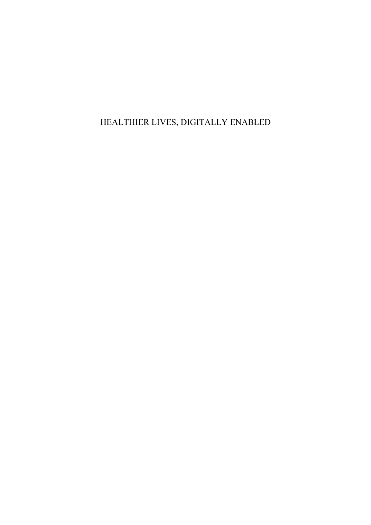## HEALTHIER LIVES, DIGITALLY ENABLED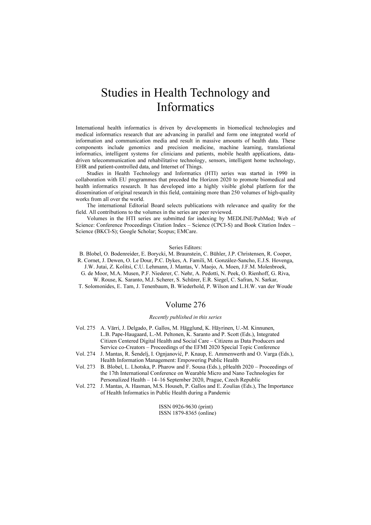### Studies in Health Technology and Informatics

International health informatics is driven by developments in biomedical technologies and medical informatics research that are advancing in parallel and form one integrated world of information and communication media and result in massive amounts of health data. These components include genomics and precision medicine, machine learning, translational informatics, intelligent systems for clinicians and patients, mobile health applications, datadriven telecommunication and rehabilitative technology, sensors, intelligent home technology, EHR and patient-controlled data, and Internet of Things.

Studies in Health Technology and Informatics (HTI) series was started in 1990 in collaboration with EU programmes that preceded the Horizon 2020 to promote biomedical and health informatics research. It has developed into a highly visible global platform for the dissemination of original research in this field, containing more than 250 volumes of high-quality works from all over the world.

The international Editorial Board selects publications with relevance and quality for the field. All contributions to the volumes in the series are peer reviewed.

Volumes in the HTI series are submitted for indexing by MEDLINE/PubMed; Web of Science: Conference Proceedings Citation Index – Science (CPCI-S) and Book Citation Index – Science (BKCI-S); Google Scholar; Scopus; EMCare.

#### Series Editors:

- B. Blobel, O. Bodenreider, E. Borycki, M. Braunstein, C. Bühler, J.P. Christensen, R. Cooper,
- R. Cornet, J. Dewen, O. Le Dour, P.C. Dykes, A. Famili, M. González-Sancho, E.J.S. Hovenga, J.W. Jutai, Z. Kolitsi, C.U. Lehmann, J. Mantas, V. Maojo, A. Moen, J.F.M. Molenbroek,
- G. de Moor, M.A. Musen, P.F. Niederer, C. Nøhr, A. Pedotti, N. Peek, O. Rienhoff, G. Riva, W. Rouse, K. Saranto, M.J. Scherer, S. Schürer, E.R. Siegel, C. Safran, N. Sarkar,
- T. Solomonides, E. Tam, J. Tenenbaum, B. Wiederhold, P. Wilson and L.H.W. van der Woude

#### Volume 276

#### Recently published in this series

- Vol. 275 A. Värri, J. Delgado, P. Gallos, M. Hägglund, K. Häyrinen, U.-M. Kinnunen, L.B. Pape-Haugaard, L.-M. Peltonen, K. Saranto and P. Scott (Eds.), Integrated Citizen Centered Digital Health and Social Care – Citizens as Data Producers and Service co-Creators – Proceedings of the EFMI 2020 Special Topic Conference
- Vol. 274 J. Mantas, R. Šendelj, I. Ognjanović, P. Knaup, E. Ammenwerth and O. Varga (Eds.), Health Information Management: Empowering Public Health
- Vol. 273 B. Blobel, L. Lhotska, P. Pharow and F. Sousa (Eds.), pHealth 2020 Proceedings of the 17th International Conference on Wearable Micro and Nano Technologies for Personalized Health – 14–16 September 2020, Prague, Czech Republic
- Vol. 272 J. Mantas, A. Hasman, M.S. Househ, P. Gallos and E. Zoulias (Eds.), The Importance of Health Informatics in Public Health during a Pandemic

ISSN 0926-9630 (print) ISSN 1879-8365 (online)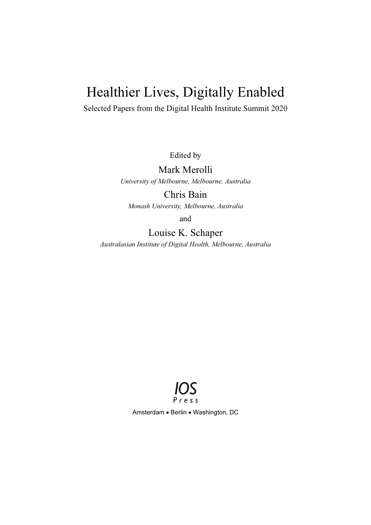# Healthier Lives, Digitally Enabled

Selected Papers from the Digital Health Institute Summit 2020

Edited by

### Mark Merolli

University of Melbourne, Melbourne, Australia

Chris Bain

Monash University, Melbourne, Australia

and

### Louise K. Schaper

Australasian Institute of Digital Health, Melbourne, Australia



Amsterdam . Berlin . Washington, DC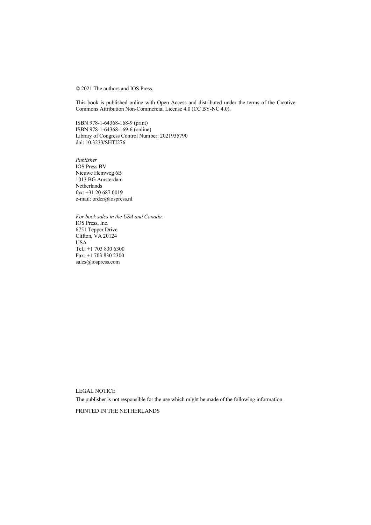© 2021 The authors and IOS Press.

This book is published online with Open Access and distributed under the terms of the Creative Commons Attribution Non-Commercial License 4.0 (CC BY-NC 4.0).

ISBN 978-1-64368-168-9 (print) ISBN 978-1-64368-169-6 (online) Library of Congress Control Number: 2021935790 doi: 10.3233/SHTI276

Publisher IOS Press BV Nieuwe Hemweg 6B 1013 BG Amsterdam Netherlands fax: +31 20 687 0019 e-mail: order@iospress.nl

For book sales in the USA and Canada: IOS Press, Inc. 6751 Tepper Drive Clifton, VA 20124 **USA** Tel.: +1 703 830 6300 Fax: +1 703 830 2300 sales@iospress.com

LEGAL NOTICE

The publisher is not responsible for the use which might be made of the following information.

PRINTED IN THE NETHERLANDS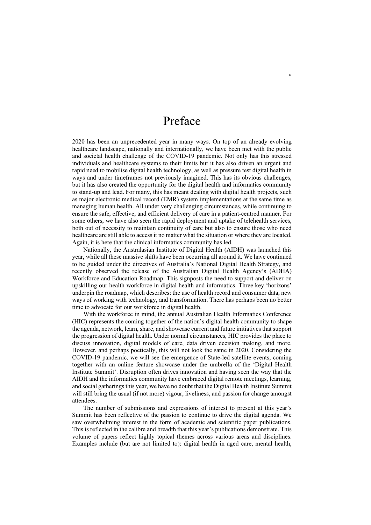### Preface

2020 has been an unprecedented year in many ways. On top of an already evolving healthcare landscape, nationally and internationally, we have been met with the public and societal health challenge of the COVID-19 pandemic. Not only has this stressed individuals and healthcare systems to their limits but it has also driven an urgent and rapid need to mobilise digital health technology, as well as pressure test digital health in ways and under timeframes not previously imagined. This has its obvious challenges, but it has also created the opportunity for the digital health and informatics community to stand-up and lead. For many, this has meant dealing with digital health projects, such as major electronic medical record (EMR) system implementations at the same time as managing human health. All under very challenging circumstances, while continuing to ensure the safe, effective, and efficient delivery of care in a patient-centred manner. For some others, we have also seen the rapid deployment and uptake of telehealth services, both out of necessity to maintain continuity of care but also to ensure those who need healthcare are still able to access it no matter what the situation or where they are located. Again, it is here that the clinical informatics community has led.

Nationally, the Australasian Institute of Digital Health (AIDH) was launched this year, while all these massive shifts have been occurring all around it. We have continued to be guided under the directives of Australia's National Digital Health Strategy, and recently observed the release of the Australian Digital Health Agency's (ADHA) Workforce and Education Roadmap. This signposts the need to support and deliver on upskilling our health workforce in digital health and informatics. Three key 'horizons' underpin the roadmap, which describes: the use of health record and consumer data, new ways of working with technology, and transformation. There has perhaps been no better time to advocate for our workforce in digital health.

With the workforce in mind, the annual Australian Health Informatics Conference (HIC) represents the coming together of the nation's digital health community to shape the agenda, network, learn, share, and showcase current and future initiatives that support the progression of digital health. Under normal circumstances, HIC provides the place to discuss innovation, digital models of care, data driven decision making, and more. However, and perhaps poetically, this will not look the same in 2020. Considering the COVID-19 pandemic, we will see the emergence of State-led satellite events, coming together with an online feature showcase under the umbrella of the 'Digital Health Institute Summit'. Disruption often drives innovation and having seen the way that the AIDH and the informatics community have embraced digital remote meetings, learning, and social gatherings this year, we have no doubt that the Digital Health Institute Summit will still bring the usual (if not more) vigour, liveliness, and passion for change amongst attendees.

The number of submissions and expressions of interest to present at this year's Summit has been reflective of the passion to continue to drive the digital agenda. We saw overwhelming interest in the form of academic and scientific paper publications. This is reflected in the calibre and breadth that this year's publications demonstrate. This volume of papers reflect highly topical themes across various areas and disciplines. Examples include (but are not limited to): digital health in aged care, mental health,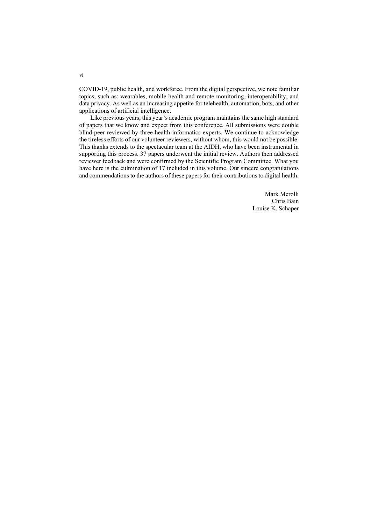COVID-19, public health, and workforce. From the digital perspective, we note familiar topics, such as: wearables, mobile health and remote monitoring, interoperability, and data privacy. As well as an increasing appetite for telehealth, automation, bots, and other applications of artificial intelligence.

Like previous years, this year's academic program maintains the same high standard of papers that we know and expect from this conference. All submissions were double blind-peer reviewed by three health informatics experts. We continue to acknowledge the tireless efforts of our volunteer reviewers, without whom, this would not be possible. This thanks extends to the spectacular team at the AIDH, who have been instrumental in supporting this process. 37 papers underwent the initial review. Authors then addressed reviewer feedback and were confirmed by the Scientific Program Committee. What you have here is the culmination of 17 included in this volume. Our sincere congratulations and commendations to the authors of these papers for their contributions to digital health.

> Mark Merolli Chris Bain Louise K. Schaper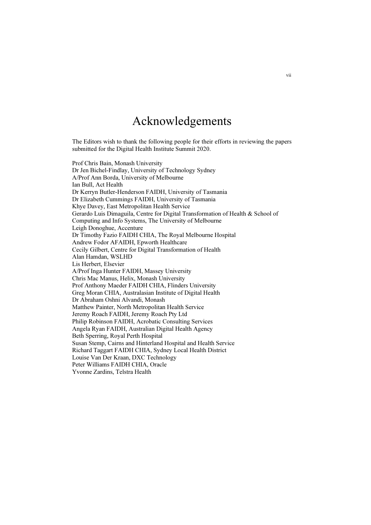### Acknowledgements

The Editors wish to thank the following people for their efforts in reviewing the papers submitted for the Digital Health Institute Summit 2020.

Prof Chris Bain, Monash University Dr Jen Bichel-Findlay, University of Technology Sydney A/Prof Ann Borda, University of Melbourne Ian Bull, Act Health Dr Kerryn Butler-Henderson FAIDH, University of Tasmania Dr Elizabeth Cummings FAIDH, University of Tasmania Khye Davey, East Metropolitan Health Service Gerardo Luis Dimaguila, Centre for Digital Transformation of Health & School of Computing and Info Systems, The University of Melbourne Leigh Donoghue, Accenture Dr Timothy Fazio FAIDH CHIA, The Royal Melbourne Hospital Andrew Fodor AFAIDH, Epworth Healthcare Cecily Gilbert, Centre for Digital Transformation of Health Alan Hamdan, WSLHD Lis Herbert, Elsevier A/Prof Inga Hunter FAIDH, Massey University Chris Mac Manus, Helix, Monash University Prof Anthony Maeder FAIDH CHIA, Flinders University Greg Moran CHIA, Australasian Institute of Digital Health Dr Abraham Oshni Alvandi, Monash Matthew Painter, North Metropolitan Health Service Jeremy Roach FAIDH, Jeremy Roach Pty Ltd Philip Robinson FAIDH, Acrobatic Consulting Services Angela Ryan FAIDH, Australian Digital Health Agency Beth Sperring, Royal Perth Hospital Susan Stemp, Cairns and Hinterland Hospital and Health Service Richard Taggart FAIDH CHIA, Sydney Local Health District Louise Van Der Kraan, DXC Technology Peter Williams FAIDH CHIA, Oracle Yvonne Zardins, Telstra Health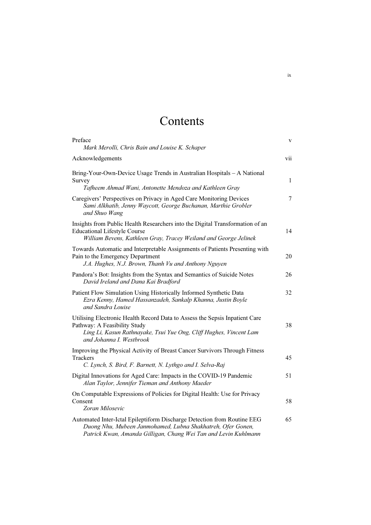## Contents

| Preface<br>Mark Merolli, Chris Bain and Louise K. Schaper                                                                                                                                                     | $\mathbf V$ |
|---------------------------------------------------------------------------------------------------------------------------------------------------------------------------------------------------------------|-------------|
| Acknowledgements                                                                                                                                                                                              | vii         |
| Bring-Your-Own-Device Usage Trends in Australian Hospitals - A National<br>Survey<br>Tafheem Ahmad Wani, Antonette Mendoza and Kathleen Gray                                                                  | 1           |
| Caregivers' Perspectives on Privacy in Aged Care Monitoring Devices<br>Sami Alkhatib, Jenny Waycott, George Buchanan, Marthie Grobler<br>and Shuo Wang                                                        | $\tau$      |
| Insights from Public Health Researchers into the Digital Transformation of an<br><b>Educational Lifestyle Course</b><br>William Bevens, Kathleen Gray, Tracey Weiland and George Jelinek                      | 14          |
| Towards Automatic and Interpretable Assignments of Patients Presenting with<br>Pain to the Emergency Department<br>J.A. Hughes, N.J. Brown, Thanh Vu and Anthony Nguyen                                       | 20          |
| Pandora's Bot: Insights from the Syntax and Semantics of Suicide Notes<br>David Ireland and Dana Kai Bradford                                                                                                 | 26          |
| Patient Flow Simulation Using Historically Informed Synthetic Data<br>Ezra Kenny, Hamed Hassanzadeh, Sankalp Khanna, Justin Boyle<br>and Sandra Louise                                                        | 32          |
| Utilising Electronic Health Record Data to Assess the Sepsis Inpatient Care<br>Pathway: A Feasibility Study<br>Ling Li, Kasun Rathnayake, Tsui Yue Ong, Cliff Hughes, Vincent Lam<br>and Johanna I. Westbrook | 38          |
| Improving the Physical Activity of Breast Cancer Survivors Through Fitness<br><b>Trackers</b><br>C. Lynch, S. Bird, F. Barnett, N. Lythgo and I. Selva-Raj                                                    | 45          |
| Digital Innovations for Aged Care: Impacts in the COVID-19 Pandemic<br>Alan Taylor, Jennifer Tieman and Anthony Maeder                                                                                        | 51          |
| On Computable Expressions of Policies for Digital Health: Use for Privacy<br>Consent<br>Zoran Milosevic                                                                                                       | 58          |
| Automated Inter-Ictal Epileptiform Discharge Detection from Routine EEG<br>Duong Nhu, Mubeen Janmohamed, Lubna Shakhatreh, Ofer Gonen,<br>Patrick Kwan, Amanda Gilligan, Chang Wei Tan and Levin Kuhlmann     | 65          |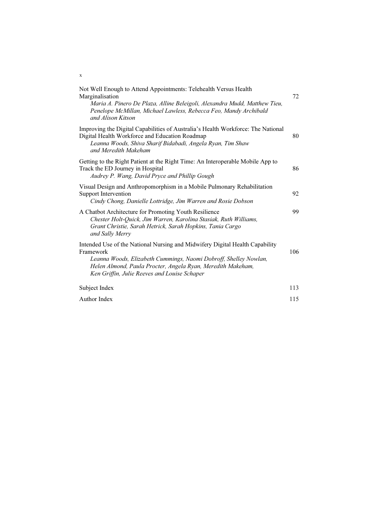| Not Well Enough to Attend Appointments: Telehealth Versus Health<br>Marginalisation<br>Maria A. Pinero De Plaza, Alline Beleigoli, Alexandra Mudd, Matthew Tieu,<br>Penelope McMillan, Michael Lawless, Rebecca Feo, Mandy Archibald<br>and Alison Kitson                    | 72  |
|------------------------------------------------------------------------------------------------------------------------------------------------------------------------------------------------------------------------------------------------------------------------------|-----|
| Improving the Digital Capabilities of Australia's Health Workforce: The National<br>Digital Health Workforce and Education Roadmap<br>Leanna Woods, Shiva Sharif Bidabadi, Angela Ryan, Tim Shaw<br>and Meredith Makeham                                                     | 80  |
| Getting to the Right Patient at the Right Time: An Interoperable Mobile App to<br>Track the ED Journey in Hospital<br>Audrey P. Wang, David Pryce and Phillip Gough                                                                                                          | 86  |
| Visual Design and Anthropomorphism in a Mobile Pulmonary Rehabilitation<br>Support Intervention<br>Cindy Chong, Danielle Lottridge, Jim Warren and Rosie Dobson                                                                                                              | 92  |
| A Chatbot Architecture for Promoting Youth Resilience<br>Chester Holt-Quick, Jim Warren, Karolina Stasiak, Ruth Williams,<br>Grant Christie, Sarah Hetrick, Sarah Hopkins, Tania Cargo<br>and Sally Merry                                                                    | 99  |
| Intended Use of the National Nursing and Midwifery Digital Health Capability<br>Framework<br>Leanna Woods, Elizabeth Cummings, Naomi Dobroff, Shelley Nowlan,<br>Helen Almond, Paula Procter, Angela Ryan, Meredith Makeham,<br>Ken Griffin, Julie Reeves and Louise Schaper | 106 |
| Subject Index                                                                                                                                                                                                                                                                | 113 |
| Author Index                                                                                                                                                                                                                                                                 | 115 |

x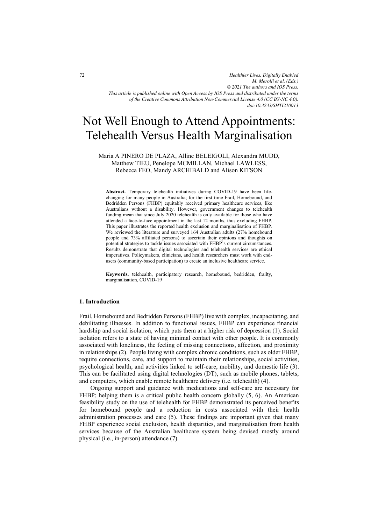*Healthier Lives, Digitally Enabled M. Merolli et al. (Eds.) © 2021 The authors and IOS Press. This article is published online with Open Access by IOS Press and distributed under the terms of the Creative Commons Attribution Non-Commercial License 4.0 (CC BY-NC 4.0). doi:10.3233/SHTI210013*

### Not Well Enough to Attend Appointments: Telehealth Versus Health Marginalisation

Maria A PINERO DE PLAZA, Alline BELEIGOLI, Alexandra MUDD, Matthew TIEU, Penelope MCMILLAN, Michael LAWLESS, Rebecca FEO, Mandy ARCHIBALD and Alison KITSON

**Abstract.** Temporary telehealth initiatives during COVID-19 have been lifechanging for many people in Australia; for the first time Frail, Homebound, and Bedridden Persons (FHBP) equitably received primary healthcare services, like Australians without a disability. However, government changes to telehealth funding mean that since July 2020 telehealth is only available for those who have attended a face-to-face appointment in the last 12 months, thus excluding FHBP. This paper illustrates the reported health exclusion and marginalisation of FHBP. We reviewed the literature and surveyed 164 Australian adults (27% homebound people and 73% affiliated persons) to ascertain their opinions and thoughts on potential strategies to tackle issues associated with FHBP's current circumstances. Results demonstrate that digital technologies and telehealth services are ethical imperatives. Policymakers, clinicians, and health researchers must work with endusers (community-based participation) to create an inclusive healthcare service.

**Keywords.** telehealth, participatory research, homebound, bedridden, frailty, marginalisation, COVID-19

#### **1. Introduction**

Frail, Homebound and Bedridden Persons (FHBP) live with complex, incapacitating, and debilitating illnesses. In addition to functional issues, FHBP can experience financial hardship and social isolation, which puts them at a higher risk of depression (1). Social isolation refers to a state of having minimal contact with other people. It is commonly associated with loneliness, the feeling of missing connections, affection, and proximity in relationships (2). People living with complex chronic conditions, such as older FHBP, require connections, care, and support to maintain their relationships, social activities, psychological health, and activities linked to self-care, mobility, and domestic life (3). This can be facilitated using digital technologies (DT), such as mobile phones, tablets, and computers, which enable remote healthcare delivery (i.e. telehealth) (4).

Ongoing support and guidance with medications and self-care are necessary for FHBP; helping them is a critical public health concern globally (5, 6). An American feasibility study on the use of telehealth for FHBP demonstrated its perceived benefits for homebound people and a reduction in costs associated with their health administration processes and care (5). These findings are important given that many FHBP experience social exclusion, health disparities, and marginalisation from health services because of the Australian healthcare system being devised mostly around physical (i.e., in-person) attendance (7).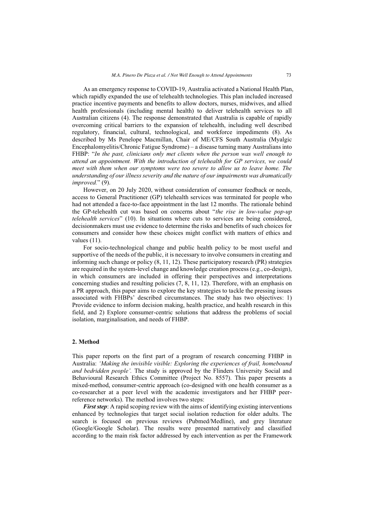As an emergency response to COVID-19, Australia activated a National Health Plan, which rapidly expanded the use of telehealth technologies. This plan included increased practice incentive payments and benefits to allow doctors, nurses, midwives, and allied health professionals (including mental health) to deliver telehealth services to all Australian citizens (4). The response demonstrated that Australia is capable of rapidly overcoming critical barriers to the expansion of telehealth, including well described regulatory, financial, cultural, technological, and workforce impediments (8). As described by Ms Penelope Macmillan, Chair of ME/CFS South Australia (Myalgic Encephalomyelitis/Chronic Fatigue Syndrome) – a disease turning many Australians into FHBP: "*In the past, clinicians only met clients when the person was well enough to attend an appointment. With the introduction of telehealth for GP services, we could meet with them when our symptoms were too severe to allow us to leave home. The understanding of our illness severity and the nature of our impairments was dramatically improved.*" (9).

However, on 20 July 2020, without consideration of consumer feedback or needs, access to General Practitioner (GP) telehealth services was terminated for people who had not attended a face-to-face appointment in the last 12 months. The rationale behind the GP-telehealth cut was based on concerns about "*the rise in low-value pop-up telehealth services*" (10). In situations where cuts to services are being considered, decisionmakers must use evidence to determine the risks and benefits of such choices for consumers and consider how these choices might conflict with matters of ethics and values (11).

For socio-technological change and public health policy to be most useful and supportive of the needs of the public, it is necessary to involve consumers in creating and informing such change or policy (8, 11, 12). These participatory research (PR) strategies are required in the system-level change and knowledge creation process (e.g., co-design), in which consumers are included in offering their perspectives and interpretations concerning studies and resulting policies (7, 8, 11, 12). Therefore, with an emphasis on a PR approach, this paper aims to explore the key strategies to tackle the pressing issues associated with FHBPs' described circumstances. The study has two objectives: 1) Provide evidence to inform decision making, health practice, and health research in this field, and 2) Explore consumer-centric solutions that address the problems of social isolation, marginalisation, and needs of FHBP.

#### **2. Method**

This paper reports on the first part of a program of research concerning FHBP in Australia: *'Making the invisible visible: Exploring the experiences of frail, homebound and bedridden people'.* The study is approved by the Flinders University Social and Behavioural Research Ethics Committee (Project No. 8557). This paper presents a mixed-method, consumer-centric approach (co-designed with one health consumer as a co-researcher at a peer level with the academic investigators and her FHBP peerreference networks). The method involves two steps:

*First step*: A rapid scoping review with the aims of identifying existing interventions enhanced by technologies that target social isolation reduction for older adults. The search is focused on previous reviews (Pubmed/Medline), and grey literature (Google/Google Scholar). The results were presented narratively and classified according to the main risk factor addressed by each intervention as per the Framework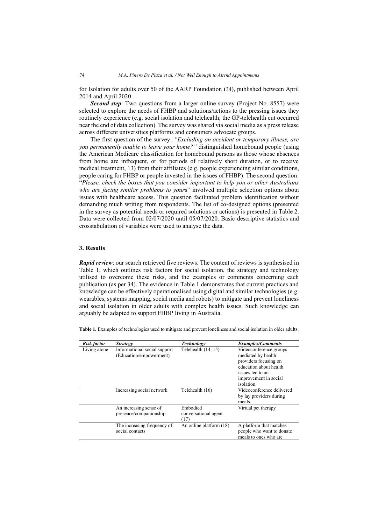for Isolation for adults over 50 of the AARP Foundation (34), published between April 2014 and April 2020.

*Second step*: Two questions from a larger online survey (Project No. 8557) were selected to explore the needs of FHBP and solutions/actions to the pressing issues they routinely experience (e.g. social isolation and telehealth; the GP-telehealth cut occurred near the end of data collection). The survey was shared via social media as a press release across different universities platforms and consumers advocate groups.

The first question of the survey: *"Excluding an accident or temporary illness, are you permanently unable to leave your home?"* distinguished homebound people (using the American Medicare classification for homebound persons as those whose absences from home are infrequent, or for periods of relatively short duration, or to receive medical treatment, 13) from their affiliates (e.g. people experiencing similar conditions, people caring for FHBP or people invested in the issues of FHBP). The second question: "*Please, check the boxes that you consider important to help you or other Australians who are facing similar problems to your*s" involved multiple selection options about issues with healthcare access. This question facilitated problem identification without demanding much writing from respondents. The list of co-designed options (presented in the survey as potential needs or required solutions or actions) is presented in Table 2. Data were collected from 02/07/2020 until 05/07/2020. Basic descriptive statistics and crosstabulation of variables were used to analyse the data.

#### **3. Results**

*Rapid review*: our search retrieved five reviews. The content of reviews is synthesised in Table 1, which outlines risk factors for social isolation, the strategy and technology utilised to overcome these risks, and the examples or comments concerning each publication (as per 34). The evidence in Table 1 demonstrates that current practices and knowledge can be effectively operationalised using digital and similar technologies (e.g. wearables, systems mapping, social media and robots) to mitigate and prevent loneliness and social isolation in older adults with complex health issues. Such knowledge can arguably be adapted to support FHBP living in Australia.

| <b>Risk factor</b> | <b>Strategy</b>                                         | <b>Technology</b>                        | <b>Examples/Comments</b>                                                                                                                                   |
|--------------------|---------------------------------------------------------|------------------------------------------|------------------------------------------------------------------------------------------------------------------------------------------------------------|
| Living alone       | Informational social support<br>(Education/empowerment) | Telehealth $(14, 15)$                    | Videoconference groups<br>mediated by health<br>providers focusing on<br>education about health<br>issues led to an<br>improvement in social<br>isolation. |
|                    | Increasing social network                               | Telehealth (16)                          | Videoconference delivered<br>by lay providers during<br>meals.                                                                                             |
|                    | An increasing sense of<br>presence/companionship        | Embodied<br>conversational agent<br>(17) | Virtual pet therapy                                                                                                                                        |
|                    | The increasing frequency of<br>social contacts          | An online platform (18)                  | A platform that matches<br>people who want to donate<br>meals to ones who are                                                                              |

**Table 1.** Examples of technologies used to mitigate and prevent loneliness and social isolation in older adults.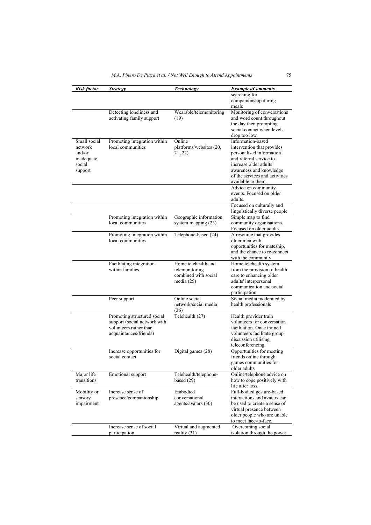| Risk factor  | <b>Strategy</b>                              | <b>Technology</b>       | <b>Examples/Comments</b>                  |
|--------------|----------------------------------------------|-------------------------|-------------------------------------------|
|              |                                              |                         | searching for                             |
|              |                                              |                         | companionship during                      |
|              |                                              |                         | meals                                     |
|              | Detecting loneliness and                     | Wearable/telemonitoring | Monitoring of conversations               |
|              | activating family support                    |                         | and word count throughout                 |
|              |                                              | (19)                    |                                           |
|              |                                              |                         | the day then prompting                    |
|              |                                              |                         | social contact when levels                |
|              |                                              |                         | drop too low.                             |
| Small social | Promoting integration within                 | Online                  | Information-based                         |
| network      | local communities                            | platforms/websites (20, | intervention that provides                |
| and/or       |                                              | 21, 22)                 | personalised information                  |
| inadequate   |                                              |                         | and referral service to                   |
| social       |                                              |                         | increase older adults'                    |
| support      |                                              |                         | awareness and knowledge                   |
|              |                                              |                         | of the services and activities            |
|              |                                              |                         | available to them.                        |
|              |                                              |                         | Advice on community                       |
|              |                                              |                         | events. Focused on older                  |
|              |                                              |                         | adults.                                   |
|              |                                              |                         | Focused on culturally and                 |
|              |                                              |                         | linguistically diverse people             |
|              | Promoting integration within                 | Geographic information  | Simple map to find                        |
|              | local communities                            | system mapping $(23)$   | community organisations.                  |
|              |                                              |                         | Focused on older adults                   |
|              | Promoting integration within                 | Telephone-based (24)    | A resource that provides                  |
|              | local communities                            |                         | older men with                            |
|              |                                              |                         | opportunities for mateship,               |
|              |                                              |                         | and the chance to re-connect              |
|              |                                              |                         | with the community                        |
|              | Facilitating integration                     | Home telehealth and     | Home telehealth system                    |
|              | within families                              | telemonitoring          | from the provision of health              |
|              |                                              | combined with social    | care to enhancing older                   |
|              |                                              | media $(25)$            | adults' interpersonal                     |
|              |                                              |                         | communication and social                  |
|              |                                              |                         | participation                             |
|              | Peer support                                 | Online social           | Social media moderated by                 |
|              |                                              | network/social media    | health professionals                      |
|              |                                              | (26)                    |                                           |
|              | Promoting structured social                  | Telehealth (27)         | Health provider train                     |
|              | support (social network with                 |                         | volunteers for conversation               |
|              | volunteers rather than                       |                         | facilitation. Once trained                |
|              | acquaintances/friends)                       |                         | volunteers facilitate group               |
|              |                                              |                         |                                           |
|              |                                              |                         | discussion utilising<br>teleconferencing. |
|              |                                              |                         |                                           |
|              | Increase opportunities for<br>social contact | Digital games (28)      | Opportunities for meeting                 |
|              |                                              |                         | friends online through                    |
|              |                                              |                         | games communities for                     |
|              |                                              |                         | older adults                              |
| Major life   | Emotional support                            | Telehealth/telephone-   | Online/telephone advice on                |
| transitions  |                                              | based $(29)$            | how to cope positively with               |
|              |                                              |                         | life after loss.                          |
| Mobility or  | Increase sense of                            | Embodied                | Full-bodied gesture-based                 |
| sensory      | presence/companionship                       | conversational          | interactions and avatars can              |
| impairment   |                                              | agents/avatars (30)     | be used to create a sense of              |
|              |                                              |                         | virtual presence between                  |
|              |                                              |                         | older people who are unable               |
|              |                                              |                         | to meet face-to-face.                     |
|              | Increase sense of social                     | Virtual and augmented   | Overcoming social                         |
|              | participation                                | reality $(31)$          | isolation through the power               |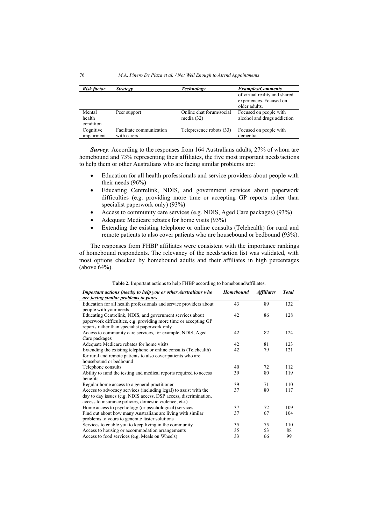| <b>Risk factor</b> | <b>Strategy</b>          | <b>Technology</b>        | <b>Examples/Comments</b>                                 |  |  |
|--------------------|--------------------------|--------------------------|----------------------------------------------------------|--|--|
|                    |                          |                          | of virtual reality and shared<br>experiences. Focused on |  |  |
|                    |                          |                          | older adults.                                            |  |  |
| Mental             | Peer support             | Online chat forum/social | Focused on people with                                   |  |  |
| health             |                          | media $(32)$             | alcohol and drugs addiction                              |  |  |
| condition          |                          |                          |                                                          |  |  |
| Cognitive          | Facilitate communication | Telepresence robots (33) | Focused on people with                                   |  |  |
| impairment         | with carers              |                          | dementia                                                 |  |  |

*Survey*: According to the responses from 164 Australians adults, 27% of whom are homebound and 73% representing their affiliates, the five most important needs/actions to help them or other Australians who are facing similar problems are:

- $\bullet$  Education for all health professionals and service providers about people with their needs (96%)
- - Educating Centrelink, NDIS, and government services about paperwork difficulties (e.g. providing more time or accepting GP reports rather than specialist paperwork only) (93%)
- $\bullet$ Access to community care services (e.g. NDIS, Aged Care packages) (93%)
- -Adequate Medicare rebates for home visits (93%)
- $\bullet$  Extending the existing telephone or online consults (Telehealth) for rural and remote patients to also cover patients who are housebound or bedbound (93%).

The responses from FHBP affiliates were consistent with the importance rankings of homebound respondents. The relevancy of the needs/action list was validated, with most options checked by homebound adults and their affiliates in high percentages (above 64%).

| Important actions (needs) to help you or other Australians who     | Homebound | <b>Affiliates</b> | <b>Total</b> |
|--------------------------------------------------------------------|-----------|-------------------|--------------|
| are facing similar problems to yours                               |           |                   |              |
| Education for all health professionals and service providers about | 43        | 89                | 132          |
| people with your needs                                             |           |                   |              |
| Educating Centrelink, NDIS, and government services about          | 42        | 86                | 128          |
| paperwork difficulties, e.g. providing more time or accepting GP   |           |                   |              |
| reports rather than specialist paperwork only                      |           |                   |              |
| Access to community care services, for example, NDIS, Aged         | 42        | 82                | 124          |
| Care packages                                                      |           |                   |              |
| Adequate Medicare rebates for home visits                          | 42        | 81                | 123          |
| Extending the existing telephone or online consults (Telehealth)   | 42        | 79                | 121          |
| for rural and remote patients to also cover patients who are       |           |                   |              |
| housebound or bedbound                                             |           |                   |              |
| Telephone consults                                                 | 40        | 72                | 112          |
| Ability to fund the testing and medical reports required to access | 39        | 80                | 119          |
| benefits                                                           |           |                   |              |
| Regular home access to a general practitioner                      | 39        | 71                | 110          |
| Access to advocacy services (including legal) to assist with the   | 37        | 80                | 117          |
| day to day issues (e.g. NDIS access, DSP access, discrimination,   |           |                   |              |
| access to insurance policies, domestic violence, etc.)             |           |                   |              |
| Home access to psychology (or psychological) services              | 37        | 72                | 109          |
| Find out about how many Australians are living with similar        | 37        | 67                | 104          |
| problems to yours to generate faster solutions                     |           |                   |              |
| Services to enable you to keep living in the community             | 35        | 75                | 110          |
| Access to housing or accommodation arrangements                    | 35        | 53                | 88           |
| Access to food services (e.g. Meals on Wheels)                     | 33        | 66                | 99           |

**Table 2.** Important actions to help FHBP according to homebound/affiliates.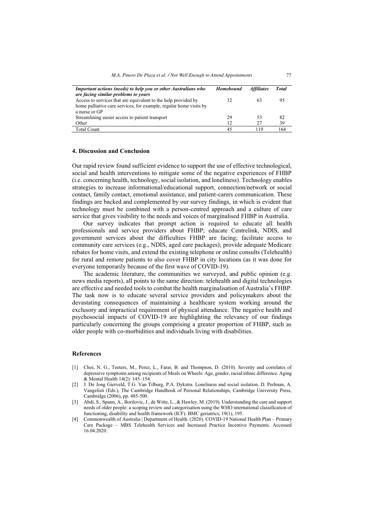| Important actions (needs) to help you or other Australians who     | Homebound | <b>Affiliates</b> | <b>Total</b> |
|--------------------------------------------------------------------|-----------|-------------------|--------------|
| are facing similar problems to yours                               |           |                   |              |
| Access to services that are equivalent to the help provided by     | 32        | 63                | 95           |
| home palliative care services, for example, regular home visits by |           |                   |              |
| a nurse or GP                                                      |           |                   |              |
| Streamlining easier access to patient transport                    | 29        | 53                | 82           |
| Other                                                              | 12        | 27                | 39           |
| <b>Total Count</b>                                                 | 45        | 119               | 64           |

#### **4. Discussion and Conclusion**

Our rapid review found sufficient evidence to support the use of effective technological, social and health interventions to mitigate some of the negative experiences of FHBP (i.e. concerning health, technology, social isolation, and loneliness). Technology enables strategies to increase informational/educational support, connection/network or social contact, family contact, emotional assistance, and patient-carers communication. These findings are backed and complemented by our survey findings, in which is evident that technology must be combined with a person-centred approach and a culture of care service that gives visibility to the needs and voices of marginalised FHBP in Australia.

Our survey indicates that prompt action is required to educate all health professionals and service providers about FHBP; educate Centrelink, NDIS, and government services about the difficulties FHBP are facing; facilitate access to community care services (e.g., NDIS, aged care packages); provide adequate Medicare rebates for home visits, and extend the existing telephone or online consults (Telehealth) for rural and remote patients to also cover FHBP in city locations (as it was done for everyone temporarily because of the first wave of COVID-19).

The academic literature, the communities we surveyed, and public opinion (e.g. news media reports), all points to the same direction: telehealth and digital technologies are effective and needed tools to combat the health marginalisation of Australia's FHBP. The task now is to educate several service providers and policymakers about the devastating consequences of maintaining a healthcare system working around the exclusory and impractical requirement of physical attendance. The negative health and psychosocial impacts of COVID-19 are highlighting the relevancy of our findings particularly concerning the groups comprising a greater proportion of FHBP, such as older people with co-morbidities and individuals living with disabilities.

#### **References**

- [1] Choi, N. G., Teeters, M., Perez, L., Farar, B. and Thompson, D. (2010). Severity and correlates of depressive symptoms among recipients of Meals on Wheels: Age, gender, racial/ethnic difference. Aging & Mental Health 14(2): 145–154.
- [2] J. De Jong Gierveld, T.G. Van Tilburg, P.A. Dykstra. Loneliness and social isolation. D. Perlman, A. Vangelisti (Eds.), The Cambridge Handbook of Personal Relationships, Cambridge University Press, Cambridge (2006), pp. 485-500.
- [3] Abdi, S., Spann, A., Borilovic, J., de Witte, L., & Hawley, M. (2019). Understanding the care and support needs of older people: a scoping review and categorisation using the WHO international classification of functioning, disability and health framework (ICF). BMC geriatrics, 19(1), 195.
- [4] Commonwealth of Australia | Department of Health. (2020). COVID-19 National Health Plan Primary Care Package – MBS Telehealth Services and Increased Practice Incentive Payments. Accessed 16.04.2020.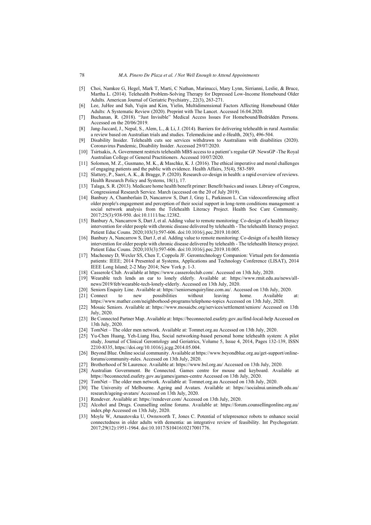- [5] Choi, Namkee G, Hegel, Mark T, Marti, C Nathan, Marinucci, Mary Lynn, Sirrianni, Leslie, & Bruce, Martha L. (2014). Telehealth Problem-Solving Therapy for Depressed Low-Income Homebound Older Adults. American Journal of Geriatric Psychiatry., 22(3), 263-271.
- [6] Lee, JuHee and Suh, Yujin and Kim, Yielin, Multidimensional Factors Affecting Homebound Older Adults: A Systematic Review (2020). Preprint with The Lancet. Accessed 16.04.2020.
- [7] Buchanan, R. (2018). "Just Invisible" Medical Access Issues For Homebound/Bedridden Persons. Accessed on the 20/06/2019.
- [8] Jang-Jaccard, J., Nepal, S., Alem, L., & Li, J. (2014). Barriers for delivering telehealth in rural Australia: a review based on Australian trials and studies. Telemedicine and e-Health, 20(5), 496-504.
- [9] Disability Insider. Telehealth cuts see services withdrawn to Australians with disabilities (2020). Coronavirus Pandemic, Disability Insider. Accessed 29/07/2020.
- [10] Tsirtsakis, A. Government restricts telehealth MBS access to a patient's regular GP. NewsGP -The Royal Australian College of General Practitioners. Accessed 10/07/2020.
- [11] Solomon, M. Z., Gusmano, M. K., & Maschke, K. J. (2016). The ethical imperative and moral challenges of engaging patients and the public with evidence. Health Affairs, 35(4), 583-589.
- [12] Slattery, P., Saeri, A. K., & Bragge, P. (2020). Research co-design in health: a rapid overview of reviews. Health Research Policy and Systems, 18(1), 17.
- [13] Talaga, S. R. (2013). Medicare home health benefit primer: Benefit basics and issues. Library of Congress, Congressional Research Service. March (accessed on the 20 of July 2019).
- [14] Banbury A, Chamberlain D, Nancarrow S, Dart J, Gray L, Parkinson L. Can videoconferencing affect older people's engagement and perception of their social support in long-term conditions management: a social network analysis from the Telehealth Literacy Project. Health Soc Care Community. 2017;25(3):938-950. doi:10.1111/hsc.12382.
- [15] Banbury A, Nancarrow S, Dart J, et al. Adding value to remote monitoring: Co-design of a health literacy intervention for older people with chronic disease delivered by telehealth - The telehealth literacy project. Patient Educ Couns. 2020;103(3):597-606. doi:10.1016/j.pec.2019.10.005.
- [16] Banbury A, Nancarrow S, Dart J, et al. Adding value to remote monitoring: Co-design of a health literacy intervention for older people with chronic disease delivered by telehealth - The telehealth literacy project. Patient Educ Couns. 2020;103(3):597-606. doi:10.1016/j.pec.2019.10.005.
- [17] Machesney D, Wexler SS, Chen T, Coppola JF. Gerontechnology Companion: Virtual pets for dementia patients: IEEE; 2014 Presented at Systems, Applications and Technology Conference (LISAT), 2014 IEEE Long Island; 2-2 May 2014; New York p. 1-3.
- [18] Casserole Club. Available at https://www.casseroleclub.com/. Accessed on 13th July, 2020.
- [19] Wearable tech lends an ear to lonely elderly. Available at: https://www.rmit.edu.au/news/allnews/2019/feb/wearable-tech-lonely-elderly. Accessed on 13th July, 2020.
- [20] Seniors Enquiry Line. Available at: https://seniorsenquiryline.com.au/. Accessed on 13th July, 2020.
- [21] Connect to new possibilities without leaving home. Available at: https://www.mather.com/neighborhood-programs/telephone-topics Accessed on 13th July, 2020.
- [22] Mosaic Seniors. Available at: https://www.mosaicbc.org/services/settlement/seniors/ Accessed on 13th July, 2020.
- [23] Be Connected Partner Map. Available at: https://beconnected.esafety.gov.au/find-local-help Accessed on 13th July, 2020.
- [24] TomNet The older men network. Available at: Tomnet.org.au Accessed on 13th July, 2020.
- [25] Yu-Chen Huang, Yeh-Liang Hsu, Social networking-based personal home telehealth system: A pilot study, Journal of Clinical Gerontology and Geriatrics, Volume 5, Issue 4, 2014, Pages 132-139, ISSN 2210-8335, https://doi.org/10.1016/j.jcgg.2014.05.004.
- [26] Beyond Blue. Online social community. Available at https://www.beyondblue.org.au/get-support/onlineforums/community-rules. Accessed on 13th July, 2020.
- [27] Brotherhood of St Laurence. Available at: https://www.bsl.org.au/ Accessed on 13th July, 2020.
- [28] Australian Government. Be Connected. Games centre for mouse and keyboard. Available at https://beconnected.esafety.gov.au/games/games-centre Accessed on 13th July, 2020.
- [29] TomNet The older men network. Available at: Tomnet.org.au Accessed on 13th July, 2020.
- [30] The University of Melbourne. Ageing and Avatars. Available at: https://socialnui.unimelb.edu.au/ research/ageing-avatars/ Accessed on 13th July, 2020.
- [31] Rendever. Available at: https://rendever.com/ Accessed on 13th July, 2020.
- [32] Alcohol and Drugs. Counselling online forums. Available at: https://forum.counsellingonline.org.au/ index.php Accessed on 13th July, 2020.
- [33] Moyle W, Arnautovska U, Ownsworth T, Jones C. Potential of telepresence robots to enhance social connectedness in older adults with dementia: an integrative review of feasibility. Int Psychogeriatr. 2017;29(12):1951-1964. doi:10.1017/S1041610217001776.